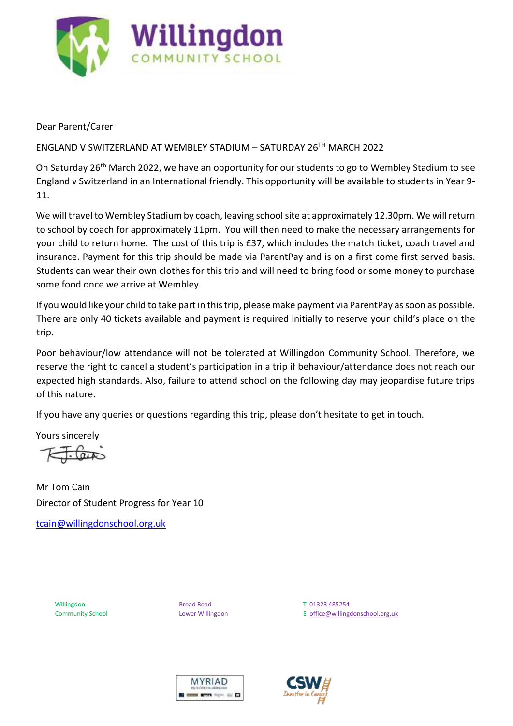

Dear Parent/Carer

## ENGLAND V SWITZERLAND AT WEMBLEY STADIUM – SATURDAY 26TH MARCH 2022

On Saturday 26<sup>th</sup> March 2022, we have an opportunity for our students to go to Wembley Stadium to see England v Switzerland in an International friendly. This opportunity will be available to students in Year 9- 11.

We will travel to Wembley Stadium by coach, leaving school site at approximately 12.30pm. We will return to school by coach for approximately 11pm. You will then need to make the necessary arrangements for your child to return home. The cost of this trip is £37, which includes the match ticket, coach travel and insurance. Payment for this trip should be made via ParentPay and is on a first come first served basis. Students can wear their own clothes for this trip and will need to bring food or some money to purchase some food once we arrive at Wembley.

If you would like your child to take part in this trip, please make payment via ParentPay as soon as possible. There are only 40 tickets available and payment is required initially to reserve your child's place on the trip.

Poor behaviour/low attendance will not be tolerated at Willingdon Community School. Therefore, we reserve the right to cancel a student's participation in a trip if behaviour/attendance does not reach our expected high standards. Also, failure to attend school on the following day may jeopardise future trips of this nature.

If you have any queries or questions regarding this trip, please don't hesitate to get in touch.

Yours sincerely

Mr Tom Cain Director of Student Progress for Year 10

tcain@willingdonschool.org.uk

Willingdon **Broad Road T 01323 485254** 

Community School **Lower Willingdon** Lower Willingdon **E** office@willingdonschool.org.uk